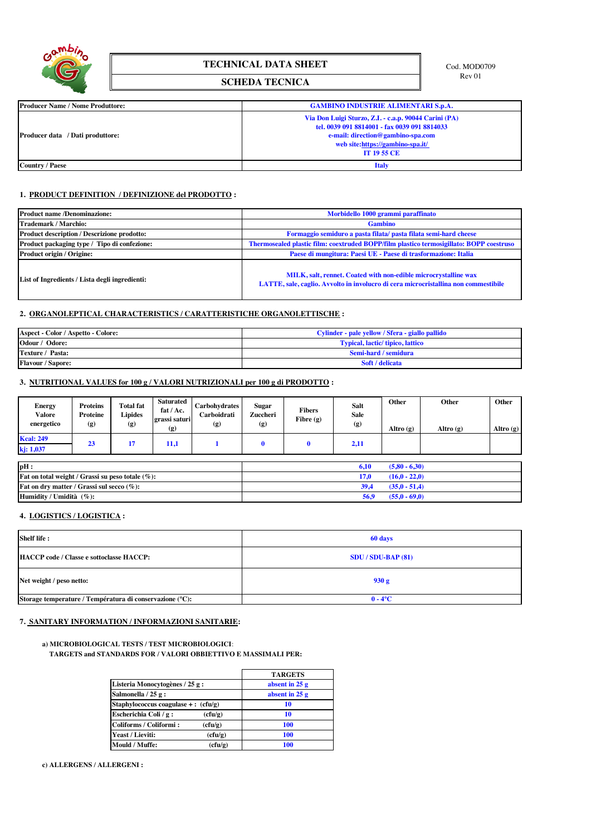

# **TECHNICAL DATA SHEET** Cod. MOD0709

## **SCHEDA TECNICA**

| <b>Producer Name / Nome Produttore:</b> | <b>GAMBINO INDUSTRIE ALIMENTARI S.p.A.</b>                                                                                                                                                           |  |  |  |
|-----------------------------------------|------------------------------------------------------------------------------------------------------------------------------------------------------------------------------------------------------|--|--|--|
| <b>Producer data</b> / Dati produttore: | Via Don Luigi Sturzo, Z.I. - c.a.p. 90044 Carini (PA)<br>tel. 0039 091 8814001 - fax 0039 091 8814033<br>e-mail: direction@gambino-spa.com<br>web site:https://gambino-spa.it/<br><b>IT 19 55 CE</b> |  |  |  |
| Country / Paese                         | <b>Italy</b>                                                                                                                                                                                         |  |  |  |

### **1. PRODUCT DEFINITION / DEFINIZIONE del PRODOTTO :**

| <b>Product name /Denominazione:</b>                | Morbidello 1000 grammi paraffinato                                                                                                                     |  |  |  |  |
|----------------------------------------------------|--------------------------------------------------------------------------------------------------------------------------------------------------------|--|--|--|--|
| <b>Trademark / Marchio:</b>                        | <b>Gambino</b>                                                                                                                                         |  |  |  |  |
| <b>Product description / Descrizione prodotto:</b> | Formaggio semiduro a pasta filata/ pasta filata semi-hard cheese                                                                                       |  |  |  |  |
| Product packaging type / Tipo di confezione:       | Thermosealed plastic film: coextruded BOPP/film plastico termosigillato: BOPP coestruso                                                                |  |  |  |  |
| Product origin / Origine:                          | Paese di mungitura: Paesi UE - Paese di trasformazione: Italia                                                                                         |  |  |  |  |
| List of Ingredients / Lista degli ingredienti:     | MILK, salt, rennet. Coated with non-edible microcrystalline wax<br>LATTE, sale, caglio. Avvolto in involucro di cera microcristallina non commestibile |  |  |  |  |

### **2. ORGANOLEPTICAL CHARACTERISTICS / CARATTERISTICHE ORGANOLETTISCHE :**

| Aspect - Color / Aspetto - Colore: | Cylinder - pale yellow / Sfera - giallo pallido |  |  |  |
|------------------------------------|-------------------------------------------------|--|--|--|
| Odour / Odore:                     | <b>Typical, lactic/ tipico, lattico</b>         |  |  |  |
| Texture / Pasta:                   | Semi-hard / semidura                            |  |  |  |
| <b>Flavour / Sapore:</b>           | Soft / delicata                                 |  |  |  |

## **3. NUTRITIONAL VALUES for 100 g / VALORI NUTRIZIONALI per 100 g di PRODOTTO :**

| <b>Energy</b><br><b>Valore</b><br>energetico | <b>Proteins</b><br>Proteine<br>(g) | <b>Total fat</b><br><b>Lipides</b><br>(g) | Saturated<br>fat $/$ Ac.<br>grassi saturi<br>(g) | <b>Carbohydrates</b><br>Carboidrati<br>(g) | <b>Sugar</b><br>Zuccheri<br>$\left( g \right)$ | <b>Fibers</b><br>Fibre $(g)$ | <b>Salt</b><br><b>Sale</b><br>(g) | Other<br>Altro $(g)$ | Other<br>Altro $(g)$ | Other<br>Altro $(g)$ |
|----------------------------------------------|------------------------------------|-------------------------------------------|--------------------------------------------------|--------------------------------------------|------------------------------------------------|------------------------------|-----------------------------------|----------------------|----------------------|----------------------|
| <b>Kcal: 249</b><br>kj: 1,037                | 23                                 | 17                                        | 11,1                                             |                                            | $\mathbf 0$                                    |                              | 2,11                              |                      |                      |                      |
| $\mathbf{pH}$ :                              |                                    |                                           |                                                  |                                            |                                                |                              | 6,10                              | $(5,80 - 6,30)$      |                      |                      |

|                                                                       | ------<br>$1 - 1 - 1$   |
|-----------------------------------------------------------------------|-------------------------|
| <b>Fat on total weight / Grassi su peso totale <math>(\%)</math>:</b> | $(16,0 - 22,0)$         |
| <b>Fat on dry matter / Grassi sul secco (%):</b>                      | $(35,0 - 51,4)$         |
| Humidity / Umidità $(\%):$                                            | $(55.0 - 69.0)$<br>56.9 |

## **4. LOGISTICS / LOGISTICA :**

| Shelf life:                                              | 60 days                |
|----------------------------------------------------------|------------------------|
| HACCP code / Classe e sottoclasse HACCP:                 | $SDU / SDU-BAP (81)$   |
| Net weight / peso netto:                                 | 930 g                  |
| Storage temperature / Températura di conservazione (°C): | $0 - 4$ <sup>o</sup> C |

## **7. SANITARY INFORMATION / INFORMAZIONI SANITARIE:**

#### **a) MICROBIOLOGICAL TESTS / TEST MICROBIOLOGICI**:  **TARGETS and STANDARDS FOR / VALORI OBBIETTIVO E MASSIMALI PER:**

|                                        |         | <b>TARGETS</b>  |
|----------------------------------------|---------|-----------------|
| Listeria Monocytogènes / 25 g :        |         | absent in $25g$ |
| Salmonella / 25 g:                     |         | absent in $25g$ |
| Staphylococcus coagulase + : $(cfu/g)$ |         | 10              |
| Escherichia Coli / g:                  | (cfu/g) | 10              |
| Coliforms / Coliformi:                 | (cfu/g) | 100             |
| Yeast / Lieviti:                       | (cfu/g) | 100             |
| Mould / Muffe:                         | (cfu/g) | 100             |

**c) ALLERGENS / ALLERGENI :**